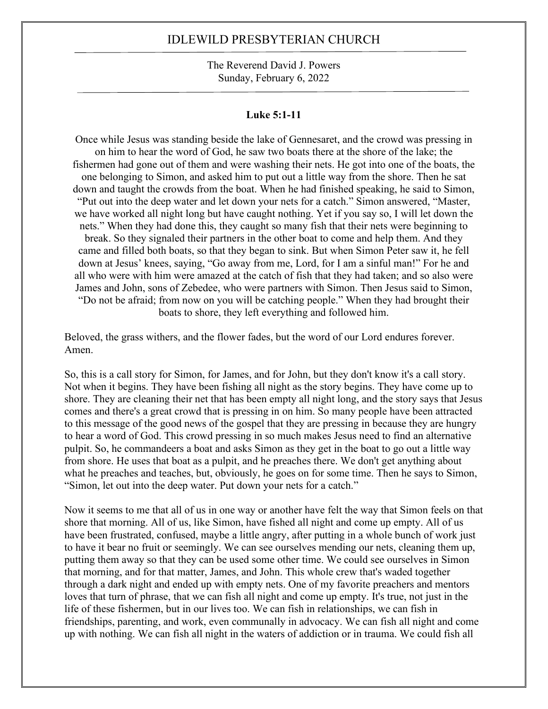The Reverend David J. Powers Sunday, February 6, 2022

#### **Luke 5:1-11**

Once while Jesus was standing beside the lake of Gennesaret, and the crowd was pressing in on him to hear the word of God, he saw two boats there at the shore of the lake; the fishermen had gone out of them and were washing their nets. He got into one of the boats, the one belonging to Simon, and asked him to put out a little way from the shore. Then he sat down and taught the crowds from the boat. When he had finished speaking, he said to Simon, "Put out into the deep water and let down your nets for a catch." Simon answered, "Master, we have worked all night long but have caught nothing. Yet if you say so, I will let down the nets." When they had done this, they caught so many fish that their nets were beginning to break. So they signaled their partners in the other boat to come and help them. And they came and filled both boats, so that they began to sink. But when Simon Peter saw it, he fell down at Jesus' knees, saying, "Go away from me, Lord, for I am a sinful man!" For he and all who were with him were amazed at the catch of fish that they had taken; and so also were James and John, sons of Zebedee, who were partners with Simon. Then Jesus said to Simon, "Do not be afraid; from now on you will be catching people." When they had brought their boats to shore, they left everything and followed him.

Beloved, the grass withers, and the flower fades, but the word of our Lord endures forever. Amen.

So, this is a call story for Simon, for James, and for John, but they don't know it's a call story. Not when it begins. They have been fishing all night as the story begins. They have come up to shore. They are cleaning their net that has been empty all night long, and the story says that Jesus comes and there's a great crowd that is pressing in on him. So many people have been attracted to this message of the good news of the gospel that they are pressing in because they are hungry to hear a word of God. This crowd pressing in so much makes Jesus need to find an alternative pulpit. So, he commandeers a boat and asks Simon as they get in the boat to go out a little way from shore. He uses that boat as a pulpit, and he preaches there. We don't get anything about what he preaches and teaches, but, obviously, he goes on for some time. Then he says to Simon, "Simon, let out into the deep water. Put down your nets for a catch."

Now it seems to me that all of us in one way or another have felt the way that Simon feels on that shore that morning. All of us, like Simon, have fished all night and come up empty. All of us have been frustrated, confused, maybe a little angry, after putting in a whole bunch of work just to have it bear no fruit or seemingly. We can see ourselves mending our nets, cleaning them up, putting them away so that they can be used some other time. We could see ourselves in Simon that morning, and for that matter, James, and John. This whole crew that's waded together through a dark night and ended up with empty nets. One of my favorite preachers and mentors loves that turn of phrase, that we can fish all night and come up empty. It's true, not just in the life of these fishermen, but in our lives too. We can fish in relationships, we can fish in friendships, parenting, and work, even communally in advocacy. We can fish all night and come up with nothing. We can fish all night in the waters of addiction or in trauma. We could fish all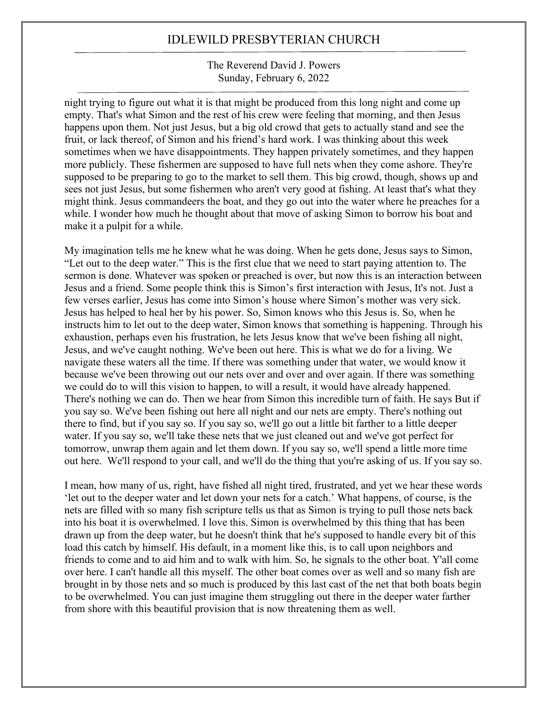The Reverend David J. Powers Sunday, February 6, 2022

night trying to figure out what it is that might be produced from this long night and come up empty. That's what Simon and the rest of his crew were feeling that morning, and then Jesus happens upon them. Not just Jesus, but a big old crowd that gets to actually stand and see the fruit, or lack thereof, of Simon and his friend's hard work. I was thinking about this week sometimes when we have disappointments. They happen privately sometimes, and they happen more publicly. These fishermen are supposed to have full nets when they come ashore. They're supposed to be preparing to go to the market to sell them. This big crowd, though, shows up and sees not just Jesus, but some fishermen who aren't very good at fishing. At least that's what they might think. Jesus commandeers the boat, and they go out into the water where he preaches for a while. I wonder how much he thought about that move of asking Simon to borrow his boat and make it a pulpit for a while.

My imagination tells me he knew what he was doing. When he gets done, Jesus says to Simon, "Let out to the deep water." This is the first clue that we need to start paying attention to. The sermon is done. Whatever was spoken or preached is over, but now this is an interaction between Jesus and a friend. Some people think this is Simon's first interaction with Jesus, It's not. Just a few verses earlier, Jesus has come into Simon's house where Simon's mother was very sick. Jesus has helped to heal her by his power. So, Simon knows who this Jesus is. So, when he instructs him to let out to the deep water, Simon knows that something is happening. Through his exhaustion, perhaps even his frustration, he lets Jesus know that we've been fishing all night, Jesus, and we've caught nothing. We've been out here. This is what we do for a living. We navigate these waters all the time. If there was something under that water, we would know it because we've been throwing out our nets over and over and over again. If there was something we could do to will this vision to happen, to will a result, it would have already happened. There's nothing we can do. Then we hear from Simon this incredible turn of faith. He says But if you say so. We've been fishing out here all night and our nets are empty. There's nothing out there to find, but if you say so. If you say so, we'll go out a little bit farther to a little deeper water. If you say so, we'll take these nets that we just cleaned out and we've got perfect for tomorrow, unwrap them again and let them down. If you say so, we'll spend a little more time out here. We'll respond to your call, and we'll do the thing that you're asking of us. If you say so.

I mean, how many of us, right, have fished all night tired, frustrated, and yet we hear these words 'let out to the deeper water and let down your nets for a catch.' What happens, of course, is the nets are filled with so many fish scripture tells us that as Simon is trying to pull those nets back into his boat it is overwhelmed. I love this. Simon is overwhelmed by this thing that has been drawn up from the deep water, but he doesn't think that he's supposed to handle every bit of this load this catch by himself. His default, in a moment like this, is to call upon neighbors and friends to come and to aid him and to walk with him. So, he signals to the other boat. Y'all come over here. I can't handle all this myself. The other boat comes over as well and so many fish are brought in by those nets and so much is produced by this last cast of the net that both boats begin to be overwhelmed. You can just imagine them struggling out there in the deeper water farther from shore with this beautiful provision that is now threatening them as well.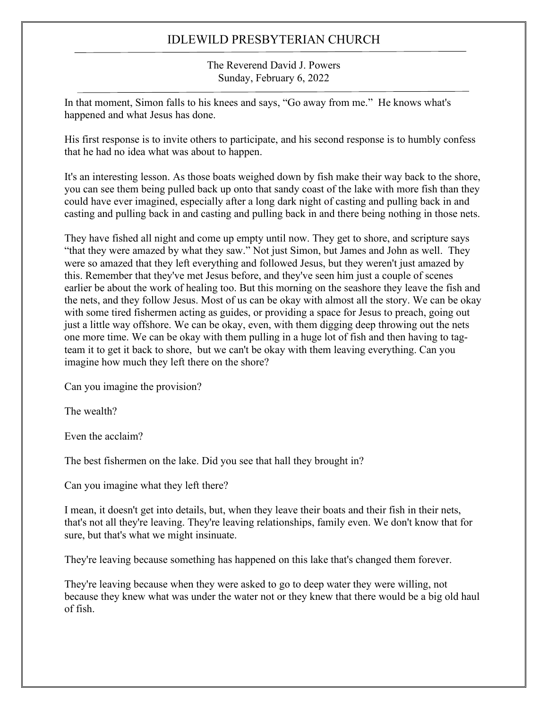The Reverend David J. Powers Sunday, February 6, 2022

In that moment, Simon falls to his knees and says, "Go away from me." He knows what's happened and what Jesus has done.

His first response is to invite others to participate, and his second response is to humbly confess that he had no idea what was about to happen.

It's an interesting lesson. As those boats weighed down by fish make their way back to the shore, you can see them being pulled back up onto that sandy coast of the lake with more fish than they could have ever imagined, especially after a long dark night of casting and pulling back in and casting and pulling back in and casting and pulling back in and there being nothing in those nets.

They have fished all night and come up empty until now. They get to shore, and scripture says "that they were amazed by what they saw." Not just Simon, but James and John as well. They were so amazed that they left everything and followed Jesus, but they weren't just amazed by this. Remember that they've met Jesus before, and they've seen him just a couple of scenes earlier be about the work of healing too. But this morning on the seashore they leave the fish and the nets, and they follow Jesus. Most of us can be okay with almost all the story. We can be okay with some tired fishermen acting as guides, or providing a space for Jesus to preach, going out just a little way offshore. We can be okay, even, with them digging deep throwing out the nets one more time. We can be okay with them pulling in a huge lot of fish and then having to tagteam it to get it back to shore, but we can't be okay with them leaving everything. Can you imagine how much they left there on the shore?

Can you imagine the provision?

The wealth?

Even the acclaim?

The best fishermen on the lake. Did you see that hall they brought in?

Can you imagine what they left there?

I mean, it doesn't get into details, but, when they leave their boats and their fish in their nets, that's not all they're leaving. They're leaving relationships, family even. We don't know that for sure, but that's what we might insinuate.

They're leaving because something has happened on this lake that's changed them forever.

They're leaving because when they were asked to go to deep water they were willing, not because they knew what was under the water not or they knew that there would be a big old haul of fish.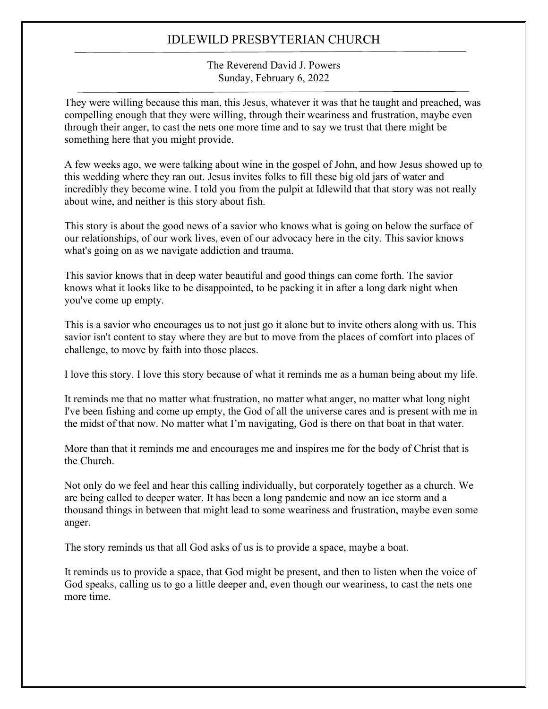The Reverend David J. Powers Sunday, February 6, 2022

They were willing because this man, this Jesus, whatever it was that he taught and preached, was compelling enough that they were willing, through their weariness and frustration, maybe even through their anger, to cast the nets one more time and to say we trust that there might be something here that you might provide.

A few weeks ago, we were talking about wine in the gospel of John, and how Jesus showed up to this wedding where they ran out. Jesus invites folks to fill these big old jars of water and incredibly they become wine. I told you from the pulpit at Idlewild that that story was not really about wine, and neither is this story about fish.

This story is about the good news of a savior who knows what is going on below the surface of our relationships, of our work lives, even of our advocacy here in the city. This savior knows what's going on as we navigate addiction and trauma.

This savior knows that in deep water beautiful and good things can come forth. The savior knows what it looks like to be disappointed, to be packing it in after a long dark night when you've come up empty.

This is a savior who encourages us to not just go it alone but to invite others along with us. This savior isn't content to stay where they are but to move from the places of comfort into places of challenge, to move by faith into those places.

I love this story. I love this story because of what it reminds me as a human being about my life.

It reminds me that no matter what frustration, no matter what anger, no matter what long night I've been fishing and come up empty, the God of all the universe cares and is present with me in the midst of that now. No matter what I'm navigating, God is there on that boat in that water.

More than that it reminds me and encourages me and inspires me for the body of Christ that is the Church.

Not only do we feel and hear this calling individually, but corporately together as a church. We are being called to deeper water. It has been a long pandemic and now an ice storm and a thousand things in between that might lead to some weariness and frustration, maybe even some anger.

The story reminds us that all God asks of us is to provide a space, maybe a boat.

It reminds us to provide a space, that God might be present, and then to listen when the voice of God speaks, calling us to go a little deeper and, even though our weariness, to cast the nets one more time.